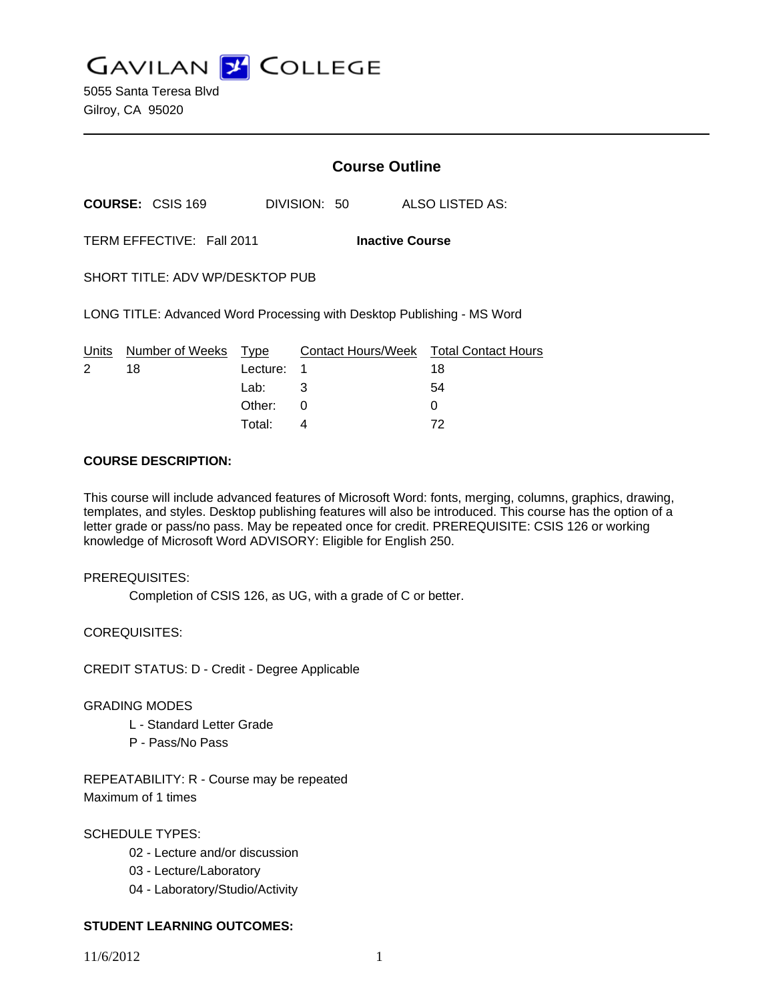**GAVILAN J COLLEGE** 

5055 Santa Teresa Blvd Gilroy, CA 95020

# **Course Outline**

**COURSE:** CSIS 169 DIVISION: 50 ALSO LISTED AS:

TERM EFFECTIVE: Fall 2011 **Inactive Course**

SHORT TITLE: ADV WP/DESKTOP PUB

LONG TITLE: Advanced Word Processing with Desktop Publishing - MS Word

|   | Units Number of Weeks Type |            | Contact Hours/Week Total Contact Hours |    |
|---|----------------------------|------------|----------------------------------------|----|
| 2 | 18                         | Lecture: 1 |                                        | 18 |
|   |                            | Lab: 3     |                                        | 54 |
|   |                            | Other: 0   |                                        |    |
|   |                            | Total:     |                                        | 72 |

### **COURSE DESCRIPTION:**

This course will include advanced features of Microsoft Word: fonts, merging, columns, graphics, drawing, templates, and styles. Desktop publishing features will also be introduced. This course has the option of a letter grade or pass/no pass. May be repeated once for credit. PREREQUISITE: CSIS 126 or working knowledge of Microsoft Word ADVISORY: Eligible for English 250.

### PREREQUISITES:

Completion of CSIS 126, as UG, with a grade of C or better.

COREQUISITES:

CREDIT STATUS: D - Credit - Degree Applicable

### GRADING MODES

- L Standard Letter Grade
- P Pass/No Pass

REPEATABILITY: R - Course may be repeated Maximum of 1 times

SCHEDULE TYPES:

- 02 Lecture and/or discussion
- 03 Lecture/Laboratory
- 04 Laboratory/Studio/Activity

## **STUDENT LEARNING OUTCOMES:**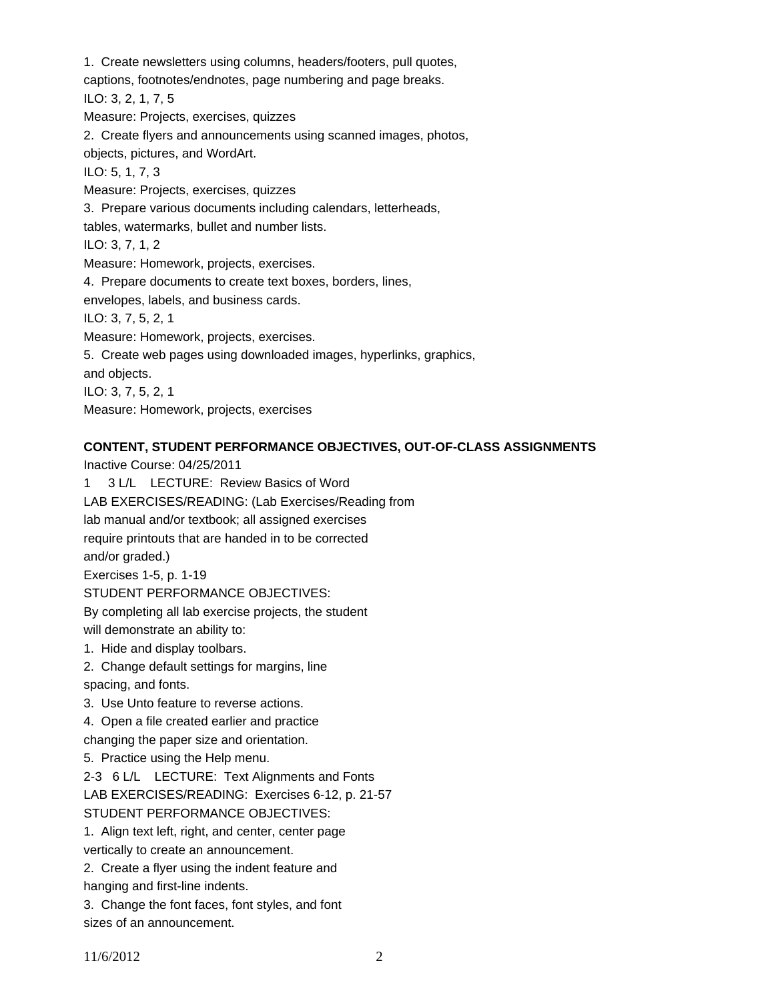1. Create newsletters using columns, headers/footers, pull quotes, captions, footnotes/endnotes, page numbering and page breaks. ILO: 3, 2, 1, 7, 5 Measure: Projects, exercises, quizzes 2. Create flyers and announcements using scanned images, photos, objects, pictures, and WordArt. ILO: 5, 1, 7, 3 Measure: Projects, exercises, quizzes 3. Prepare various documents including calendars, letterheads, tables, watermarks, bullet and number lists. ILO: 3, 7, 1, 2 Measure: Homework, projects, exercises. 4. Prepare documents to create text boxes, borders, lines, envelopes, labels, and business cards. ILO: 3, 7, 5, 2, 1 Measure: Homework, projects, exercises. 5. Create web pages using downloaded images, hyperlinks, graphics, and objects. ILO: 3, 7, 5, 2, 1 Measure: Homework, projects, exercises

## **CONTENT, STUDENT PERFORMANCE OBJECTIVES, OUT-OF-CLASS ASSIGNMENTS**

Inactive Course: 04/25/2011 1 3 L/L LECTURE: Review Basics of Word LAB EXERCISES/READING: (Lab Exercises/Reading from lab manual and/or textbook; all assigned exercises require printouts that are handed in to be corrected and/or graded.) Exercises 1-5, p. 1-19 STUDENT PERFORMANCE OBJECTIVES: By completing all lab exercise projects, the student will demonstrate an ability to: 1. Hide and display toolbars. 2. Change default settings for margins, line spacing, and fonts. 3. Use Unto feature to reverse actions. 4. Open a file created earlier and practice changing the paper size and orientation. 5. Practice using the Help menu. 2-3 6 L/L LECTURE: Text Alignments and Fonts LAB EXERCISES/READING: Exercises 6-12, p. 21-57 STUDENT PERFORMANCE OBJECTIVES: 1. Align text left, right, and center, center page vertically to create an announcement. 2. Create a flyer using the indent feature and hanging and first-line indents.

3. Change the font faces, font styles, and font sizes of an announcement.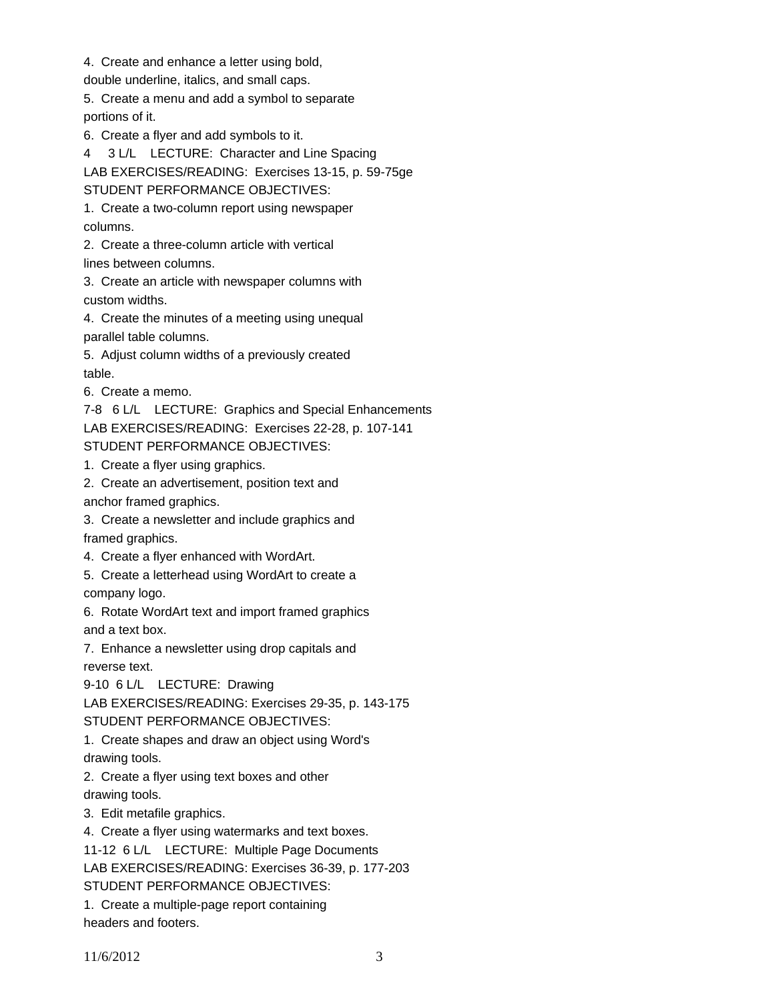4. Create and enhance a letter using bold,

double underline, italics, and small caps.

5. Create a menu and add a symbol to separate portions of it.

6. Create a flyer and add symbols to it.

4 3 L/L LECTURE: Character and Line Spacing LAB EXERCISES/READING: Exercises 13-15, p. 59-75ge STUDENT PERFORMANCE OBJECTIVES:

1. Create a two-column report using newspaper columns.

2. Create a three-column article with vertical

lines between columns.

3. Create an article with newspaper columns with custom widths.

4. Create the minutes of a meeting using unequal parallel table columns.

5. Adjust column widths of a previously created table.

6. Create a memo.

7-8 6 L/L LECTURE: Graphics and Special Enhancements LAB EXERCISES/READING: Exercises 22-28, p. 107-141 STUDENT PERFORMANCE OBJECTIVES:

1. Create a flyer using graphics.

2. Create an advertisement, position text and

anchor framed graphics.

3. Create a newsletter and include graphics and

framed graphics.

4. Create a flyer enhanced with WordArt.

5. Create a letterhead using WordArt to create a

company logo.

6. Rotate WordArt text and import framed graphics and a text box.

7. Enhance a newsletter using drop capitals and reverse text.

9-10 6 L/L LECTURE: Drawing

LAB EXERCISES/READING: Exercises 29-35, p. 143-175

STUDENT PERFORMANCE OBJECTIVES:

1. Create shapes and draw an object using Word's drawing tools.

2. Create a flyer using text boxes and other drawing tools.

3. Edit metafile graphics.

4. Create a flyer using watermarks and text boxes.

11-12 6 L/L LECTURE: Multiple Page Documents

LAB EXERCISES/READING: Exercises 36-39, p. 177-203

STUDENT PERFORMANCE OBJECTIVES:

1. Create a multiple-page report containing headers and footers.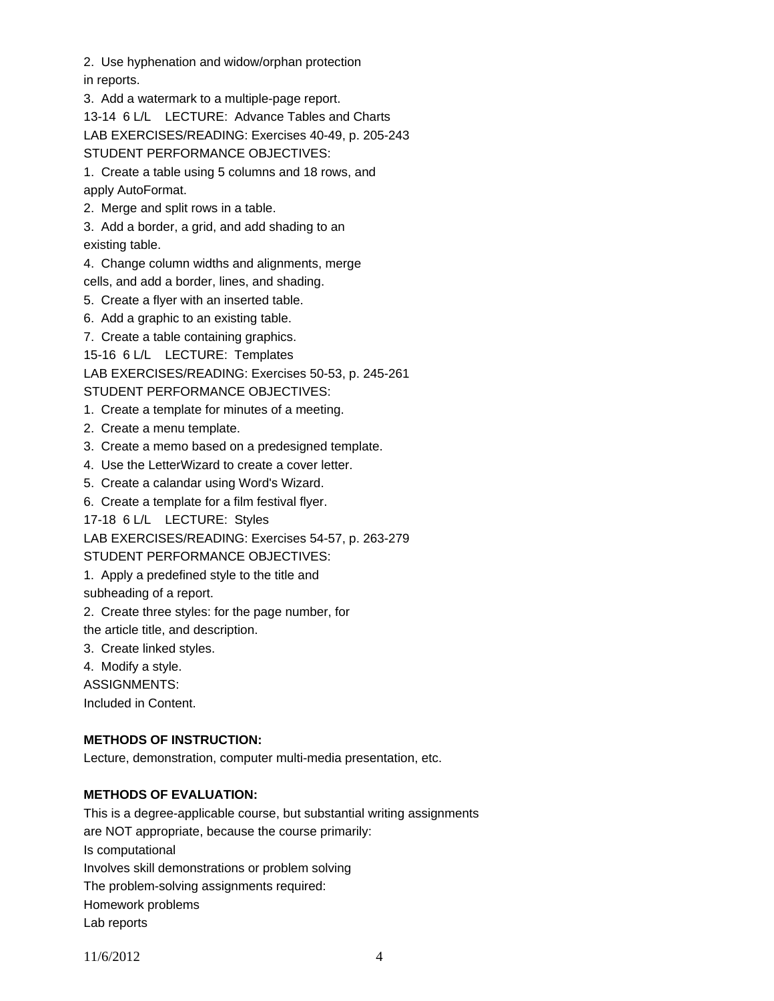2. Use hyphenation and widow/orphan protection

in reports.

3. Add a watermark to a multiple-page report.

13-14 6 L/L LECTURE: Advance Tables and Charts LAB EXERCISES/READING: Exercises 40-49, p. 205-243

STUDENT PERFORMANCE OBJECTIVES:

1. Create a table using 5 columns and 18 rows, and apply AutoFormat.

2. Merge and split rows in a table.

3. Add a border, a grid, and add shading to an existing table.

4. Change column widths and alignments, merge

cells, and add a border, lines, and shading.

5. Create a flyer with an inserted table.

6. Add a graphic to an existing table.

7. Create a table containing graphics.

15-16 6 L/L LECTURE: Templates

LAB EXERCISES/READING: Exercises 50-53, p. 245-261

STUDENT PERFORMANCE OBJECTIVES:

- 1. Create a template for minutes of a meeting.
- 2. Create a menu template.
- 3. Create a memo based on a predesigned template.
- 4. Use the LetterWizard to create a cover letter.
- 5. Create a calandar using Word's Wizard.
- 6. Create a template for a film festival flyer.

17-18 6 L/L LECTURE: Styles

LAB EXERCISES/READING: Exercises 54-57, p. 263-279

STUDENT PERFORMANCE OBJECTIVES:

1. Apply a predefined style to the title and

subheading of a report.

2. Create three styles: for the page number, for

the article title, and description.

- 3. Create linked styles.
- 4. Modify a style.
- ASSIGNMENTS:

Included in Content.

# **METHODS OF INSTRUCTION:**

Lecture, demonstration, computer multi-media presentation, etc.

# **METHODS OF EVALUATION:**

This is a degree-applicable course, but substantial writing assignments are NOT appropriate, because the course primarily: Is computational Involves skill demonstrations or problem solving The problem-solving assignments required: Homework problems Lab reports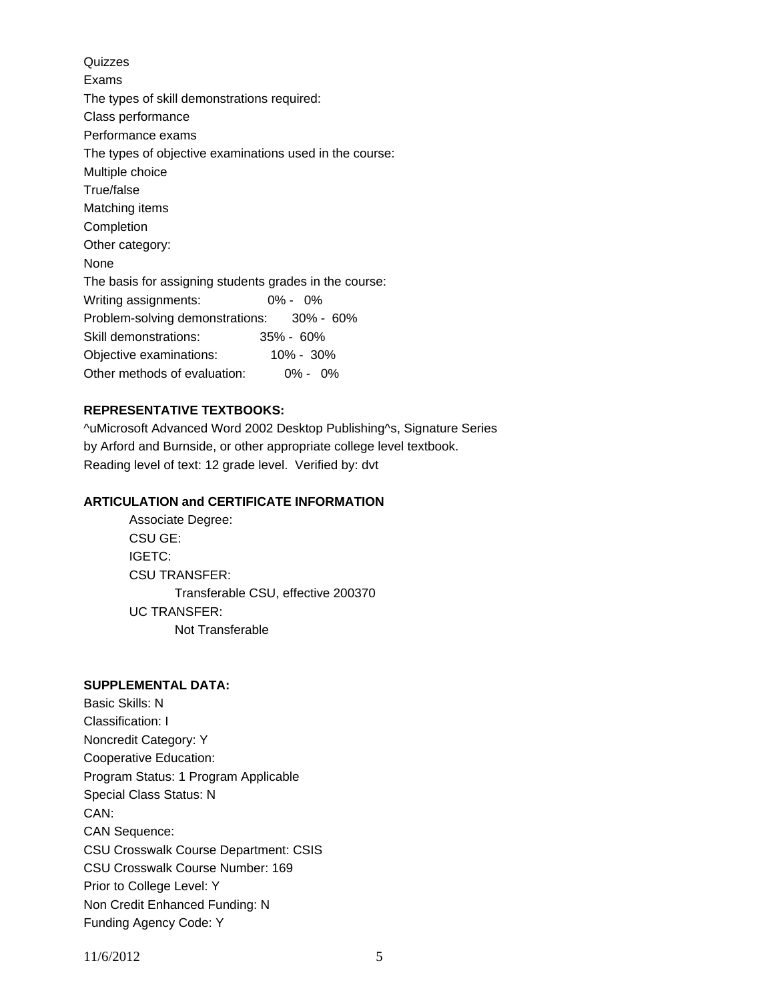Quizzes Exams The types of skill demonstrations required: Class performance Performance exams The types of objective examinations used in the course: Multiple choice True/false Matching items Completion Other category: None The basis for assigning students grades in the course: Writing assignments: 0% - 0% Problem-solving demonstrations: 30% - 60% Skill demonstrations: 35% - 60% Objective examinations: 10% - 30% Other methods of evaluation: 0% - 0%

## **REPRESENTATIVE TEXTBOOKS:**

^uMicrosoft Advanced Word 2002 Desktop Publishing^s, Signature Series by Arford and Burnside, or other appropriate college level textbook. Reading level of text: 12 grade level. Verified by: dvt

## **ARTICULATION and CERTIFICATE INFORMATION**

 Transferable CSU, effective 200370 UC TRANSFER: Not Transferable Associate Degree: CSU GE: IGETC: CSU TRANSFER:

## **SUPPLEMENTAL DATA:**

Basic Skills: N Classification: I Noncredit Category: Y Cooperative Education: Program Status: 1 Program Applicable Special Class Status: N CAN: CAN Sequence: CSU Crosswalk Course Department: CSIS CSU Crosswalk Course Number: 169 Prior to College Level: Y Non Credit Enhanced Funding: N Funding Agency Code: Y

11/6/2012 5